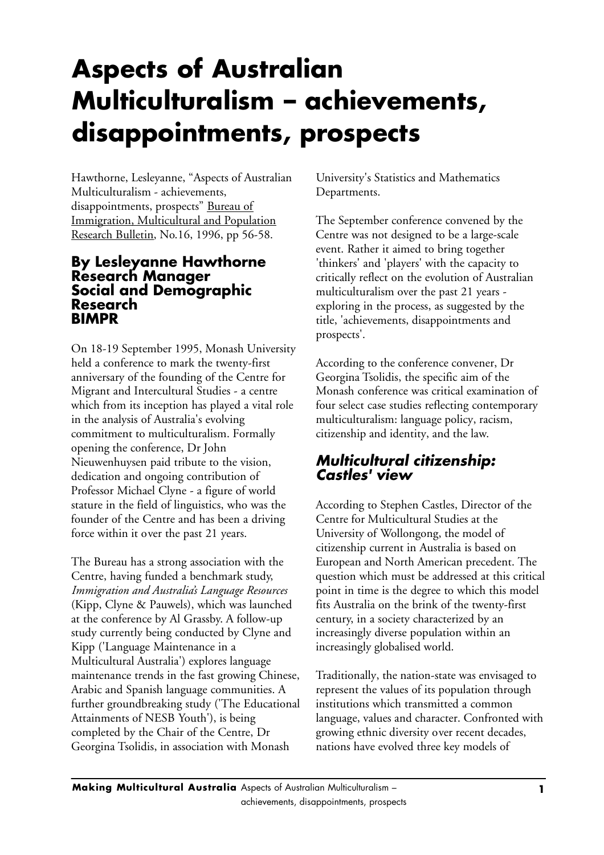## **Aspects of Australian Multiculturalism – achievements, disappointments, prospects**

Hawthorne, Lesleyanne, "Aspects of Australian Multiculturalism - achievements, disappointments, prospects" Bureau of Immigration, Multicultural and Population Research Bulletin, No.16, 1996, pp 56-58.

## **By Lesleyanne Hawthorne Research Manager Social and Demographic Research BIMPR**

On 18-19 September 1995, Monash University held a conference to mark the twenty-first anniversary of the founding of the Centre for Migrant and Intercultural Studies - a centre which from its inception has played a vital role in the analysis of Australia's evolving commitment to multiculturalism. Formally opening the conference, Dr John Nieuwenhuysen paid tribute to the vision, dedication and ongoing contribution of Professor Michael Clyne - a figure of world stature in the field of linguistics, who was the founder of the Centre and has been a driving force within it over the past 21 years.

The Bureau has a strong association with the Centre, having funded a benchmark study, *Immigration and Australia's Language Resources* (Kipp, Clyne & Pauwels), which was launched at the conference by Al Grassby. A follow-up study currently being conducted by Clyne and Kipp ('Language Maintenance in a Multicultural Australia') explores language maintenance trends in the fast growing Chinese, Arabic and Spanish language communities. A further groundbreaking study ('The Educational Attainments of NESB Youth'), is being completed by the Chair of the Centre, Dr Georgina Tsolidis, in association with Monash

University's Statistics and Mathematics Departments.

The September conference convened by the Centre was not designed to be a large-scale event. Rather it aimed to bring together 'thinkers' and 'players' with the capacity to critically reflect on the evolution of Australian multiculturalism over the past 21 years exploring in the process, as suggested by the title, 'achievements, disappointments and prospects'.

According to the conference convener, Dr Georgina Tsolidis, the specific aim of the Monash conference was critical examination of four select case studies reflecting contemporary multiculturalism: language policy, racism, citizenship and identity, and the law.

## *Multicultural citizenship: Castles' view*

According to Stephen Castles, Director of the Centre for Multicultural Studies at the University of Wollongong, the model of citizenship current in Australia is based on European and North American precedent. The question which must be addressed at this critical point in time is the degree to which this model fits Australia on the brink of the twenty-first century, in a society characterized by an increasingly diverse population within an increasingly globalised world.

Traditionally, the nation-state was envisaged to represent the values of its population through institutions which transmitted a common language, values and character. Confronted with growing ethnic diversity over recent decades, nations have evolved three key models of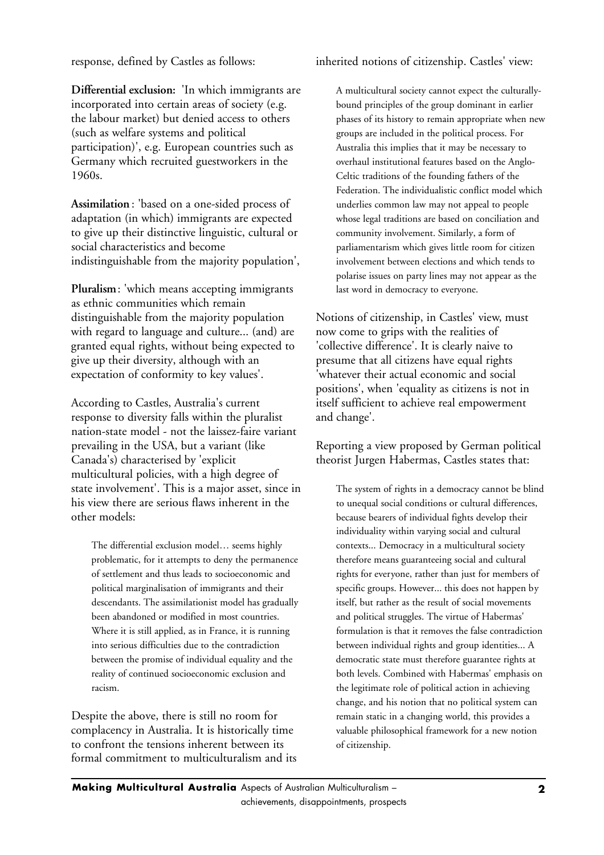response, defined by Castles as follows:

**Differential exclusion:** 'In which immigrants are incorporated into certain areas of society (e.g. the labour market) but denied access to others (such as welfare systems and political participation)', e.g. European countries such as Germany which recruited guestworkers in the 1960s.

**Assimilation** : 'based on a one-sided process of adaptation (in which) immigrants are expected to give up their distinctive linguistic, cultural or social characteristics and become indistinguishable from the majority population',

**Pluralism**: 'which means accepting immigrants as ethnic communities which remain distinguishable from the majority population with regard to language and culture... (and) are granted equal rights, without being expected to give up their diversity, although with an expectation of conformity to key values'.

According to Castles, Australia's current response to diversity falls within the pluralist nation-state model - not the laissez-faire variant prevailing in the USA, but a variant (like Canada's) characterised by 'explicit multicultural policies, with a high degree of state involvement'. This is a major asset, since in his view there are serious flaws inherent in the other models:

The differential exclusion model… seems highly problematic, for it attempts to deny the permanence of settlement and thus leads to socioeconomic and political marginalisation of immigrants and their descendants. The assimilationist model has gradually been abandoned or modified in most countries. Where it is still applied, as in France, it is running into serious difficulties due to the contradiction between the promise of individual equality and the reality of continued socioeconomic exclusion and racism.

Despite the above, there is still no room for complacency in Australia. It is historically time to confront the tensions inherent between its formal commitment to multiculturalism and its

## inherited notions of citizenship. Castles' view:

A multicultural society cannot expect the culturallybound principles of the group dominant in earlier phases of its history to remain appropriate when new groups are included in the political process. For Australia this implies that it may be necessary to overhaul institutional features based on the Anglo-Celtic traditions of the founding fathers of the Federation. The individualistic conflict model which underlies common law may not appeal to people whose legal traditions are based on conciliation and community involvement. Similarly, a form of parliamentarism which gives little room for citizen involvement between elections and which tends to polarise issues on party lines may not appear as the last word in democracy to everyone.

Notions of citizenship, in Castles' view, must now come to grips with the realities of 'collective difference'. It is clearly naive to presume that all citizens have equal rights 'whatever their actual economic and social positions', when 'equality as citizens is not in itself sufficient to achieve real empowerment and change'.

Reporting a view proposed by German political theorist Jurgen Habermas, Castles states that:

The system of rights in a democracy cannot be blind to unequal social conditions or cultural differences, because bearers of individual fights develop their individuality within varying social and cultural contexts... Democracy in a multicultural society therefore means guaranteeing social and cultural rights for everyone, rather than just for members of specific groups. However... this does not happen by itself, but rather as the result of social movements and political struggles. The virtue of Habermas' formulation is that it removes the false contradiction between individual rights and group identities... A democratic state must therefore guarantee rights at both levels. Combined with Habermas' emphasis on the legitimate role of political action in achieving change, and his notion that no political system can remain static in a changing world, this provides a valuable philosophical framework for a new notion of citizenship.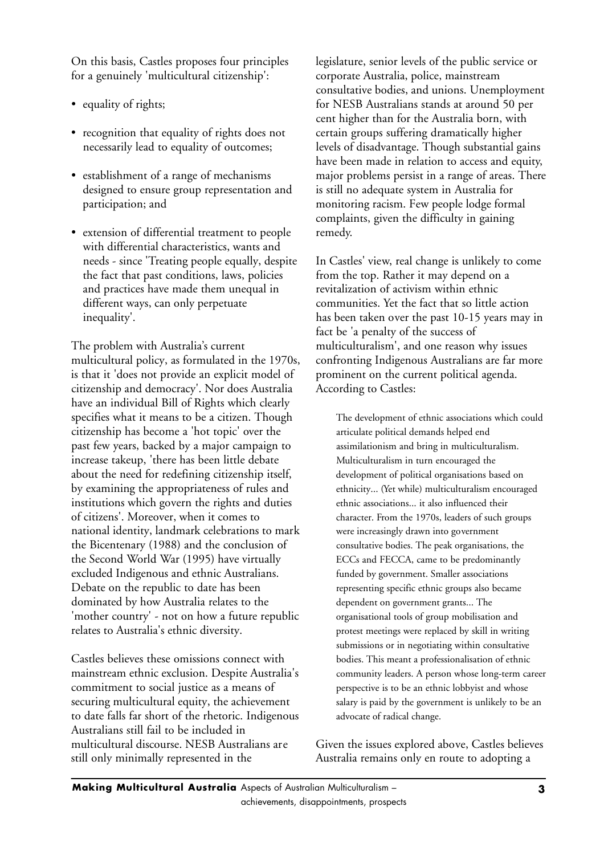On this basis, Castles proposes four principles for a genuinely 'multicultural citizenship':

- equality of rights;
- recognition that equality of rights does not necessarily lead to equality of outcomes;
- establishment of a range of mechanisms designed to ensure group representation and participation; and
- extension of differential treatment to people with differential characteristics, wants and needs - since 'Treating people equally, despite the fact that past conditions, laws, policies and practices have made them unequal in different ways, can only perpetuate inequality'.

The problem with Australia's current multicultural policy, as formulated in the 1970s, is that it 'does not provide an explicit model of citizenship and democracy'. Nor does Australia have an individual Bill of Rights which clearly specifies what it means to be a citizen. Though citizenship has become a 'hot topic' over the past few years, backed by a major campaign to increase takeup, 'there has been little debate about the need for redefining citizenship itself, by examining the appropriateness of rules and institutions which govern the rights and duties of citizens'. Moreover, when it comes to national identity, landmark celebrations to mark the Bicentenary (1988) and the conclusion of the Second World War (1995) have virtually excluded Indigenous and ethnic Australians. Debate on the republic to date has been dominated by how Australia relates to the 'mother country' - not on how a future republic relates to Australia's ethnic diversity.

Castles believes these omissions connect with mainstream ethnic exclusion. Despite Australia's commitment to social justice as a means of securing multicultural equity, the achievement to date falls far short of the rhetoric. Indigenous Australians still fail to be included in multicultural discourse. NESB Australians are still only minimally represented in the

legislature, senior levels of the public service or corporate Australia, police, mainstream consultative bodies, and unions. Unemployment for NESB Australians stands at around 50 per cent higher than for the Australia born, with certain groups suffering dramatically higher levels of disadvantage. Though substantial gains have been made in relation to access and equity, major problems persist in a range of areas. There is still no adequate system in Australia for monitoring racism. Few people lodge formal complaints, given the difficulty in gaining remedy.

In Castles' view, real change is unlikely to come from the top. Rather it may depend on a revitalization of activism within ethnic communities. Yet the fact that so little action has been taken over the past 10-15 years may in fact be 'a penalty of the success of multiculturalism', and one reason why issues confronting Indigenous Australians are far more prominent on the current political agenda. According to Castles:

The development of ethnic associations which could articulate political demands helped end assimilationism and bring in multiculturalism. Multiculturalism in turn encouraged the development of political organisations based on ethnicity... (Yet while) multiculturalism encouraged ethnic associations... it also influenced their character. From the 1970s, leaders of such groups were increasingly drawn into government consultative bodies. The peak organisations, the ECCs and FECCA, came to be predominantly funded by government. Smaller associations representing specific ethnic groups also became dependent on government grants... The organisational tools of group mobilisation and protest meetings were replaced by skill in writing submissions or in negotiating within consultative bodies. This meant a professionalisation of ethnic community leaders. A person whose long-term career perspective is to be an ethnic lobbyist and whose salary is paid by the government is unlikely to be an advocate of radical change.

Given the issues explored above, Castles believes Australia remains only en route to adopting a